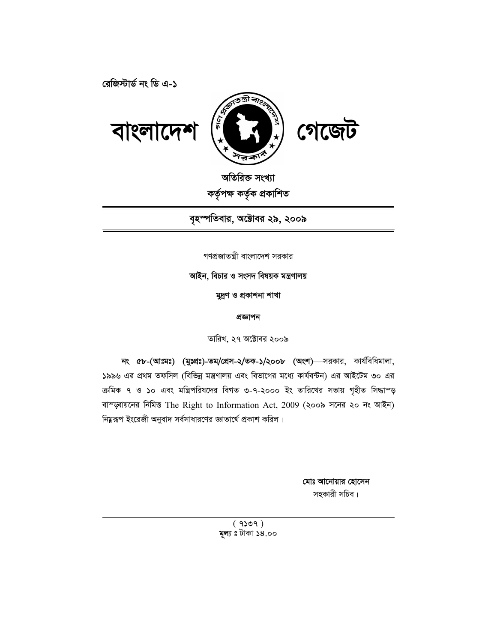**রেজিস্টার্ড নং ডি এ-১** 



অতিরিক্ত সংখ্যা

কৰ্তৃপক্ষ কৰ্তৃক প্ৰকাশিত

বৃহস্পতিবার, অক্টোবর ২৯, ২০০৯

গণপ্রজাতন্ত্রী বাংলাদেশ সরকার

আইন, বিচার ও সংসদ বিষয়ক মন্ত্রণালয়

মুদ্ৰণ ও প্ৰকাশনা শাখা

প্ৰজ্ঞাপন

তারিখ, ২৭ অক্টোবর ২০০৯

**নং ৫৮-(আঃমঃ) (মুঃপ্রঃ)-তম/প্রেস-২/তক-১/২০০৮ (অংশ)** সরকার, কার্যবিধিমালা, ১৯৯৬ এর প্রথম তফসিল (বিভিন্ন মন্ত্রণালয় এবং বিভাগের মধ্যে কার্যবন্টন) এর আইটেম ৩০ এর ক্ৰমিক ৭ ও ১০ এবং মন্ত্ৰিপরিষদের বিগত ৩-৭-২০০০ ইং তারিখের সভায় গৃহীত সিদ্ধাম্ড় বাস্জ্বায়নের নিমিত্ত The Right to Information Act, 2009 (২০০৯ সনের ২০ নং আইন) নিয়ুরূপ ইংরেজী অনুবাদ সর্বসাধারণের জ্ঞাতার্থে প্রকাশ করিল।

> মোঃ আনোয়ার হোসেন সহকারী সচিব।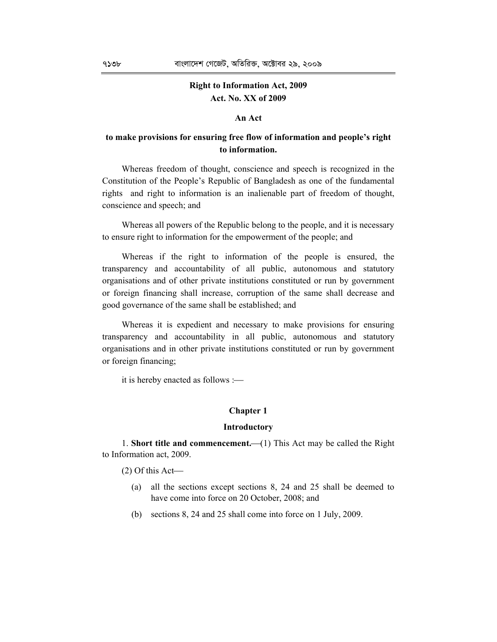# **Right to Information Act, 2009 Act. No. XX of 2009**

# **An Act**

# **to make provisions for ensuring free flow of information and people's right to information.**

Whereas freedom of thought, conscience and speech is recognized in the Constitution of the People's Republic of Bangladesh as one of the fundamental rights and right to information is an inalienable part of freedom of thought, conscience and speech; and

Whereas all powers of the Republic belong to the people, and it is necessary to ensure right to information for the empowerment of the people; and

Whereas if the right to information of the people is ensured, the transparency and accountability of all public, autonomous and statutory organisations and of other private institutions constituted or run by government or foreign financing shall increase, corruption of the same shall decrease and good governance of the same shall be established; and

Whereas it is expedient and necessary to make provisions for ensuring transparency and accountability in all public, autonomous and statutory organisations and in other private institutions constituted or run by government or foreign financing;

it is hereby enacted as follows :

# **Chapter 1**

## **Introductory**

1. **Short title and commencement.** (1) This Act may be called the Right to Information act, 2009.

(2) Of this Act

- (a) all the sections except sections 8, 24 and 25 shall be deemed to have come into force on 20 October, 2008; and
- (b) sections 8, 24 and 25 shall come into force on 1 July, 2009.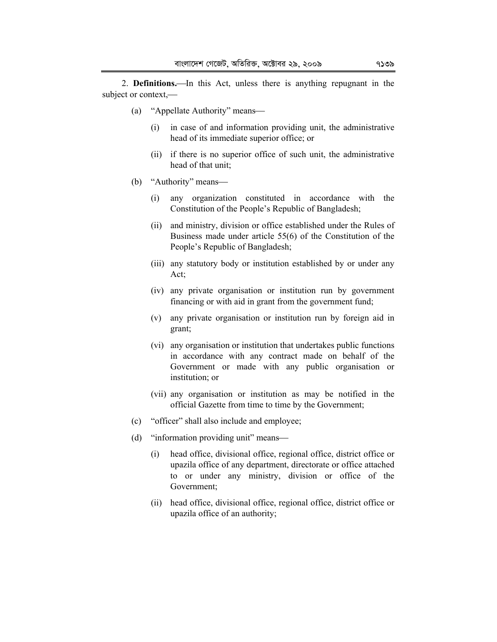2. **Definitions.**—In this Act, unless there is anything repugnant in the subject or context,

- (a) "Appellate Authority" means
	- (i) in case of and information providing unit, the administrative head of its immediate superior office; or
	- (ii) if there is no superior office of such unit, the administrative head of that unit;
- (b) "Authority" means
	- (i) any organization constituted in accordance with the Constitution of the People's Republic of Bangladesh;
	- (ii) and ministry, division or office established under the Rules of Business made under article 55(6) of the Constitution of the People's Republic of Bangladesh;
	- (iii) any statutory body or institution established by or under any Act;
	- (iv) any private organisation or institution run by government financing or with aid in grant from the government fund;
	- (v) any private organisation or institution run by foreign aid in grant;
	- (vi) any organisation or institution that undertakes public functions in accordance with any contract made on behalf of the Government or made with any public organisation or institution; or
	- (vii) any organisation or institution as may be notified in the official Gazette from time to time by the Government;
- (c) "officer" shall also include and employee;
- (d) "information providing unit" means
	- (i) head office, divisional office, regional office, district office or upazila office of any department, directorate or office attached to or under any ministry, division or office of the Government;
	- (ii) head office, divisional office, regional office, district office or upazila office of an authority;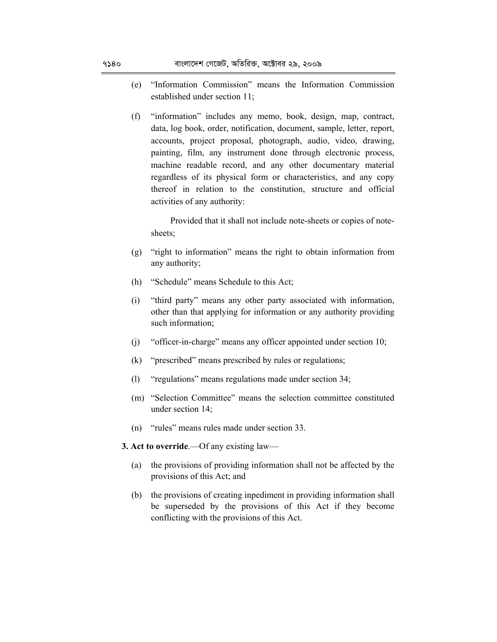- (e) "Information Commission" means the Information Commission established under section 11;
- (f) "information" includes any memo, book, design, map, contract, data, log book, order, notification, document, sample, letter, report, accounts, project proposal, photograph, audio, video, drawing, painting, film, any instrument done through electronic process, machine readable record, and any other documentary material regardless of its physical form or characteristics, and any copy thereof in relation to the constitution, structure and official activities of any authority:

Provided that it shall not include note-sheets or copies of notesheets;

- (g) "right to information" means the right to obtain information from any authority;
- (h) "Schedule" means Schedule to this Act;
- (i) "third party" means any other party associated with information, other than that applying for information or any authority providing such information;
- (j) "officer-in-charge" means any officer appointed under section 10;
- (k) "prescribed" means prescribed by rules or regulations;
- (l) "regulations" means regulations made under section 34;
- (m) "Selection Committee" means the selection committee constituted under section 14;
- (n) "rules" means rules made under section 33.
- **3. Act to override**.—Of any existing law—
	- (a) the provisions of providing information shall not be affected by the provisions of this Act; and
	- (b) the provisions of creating inpediment in providing information shall be superseded by the provisions of this Act if they become conflicting with the provisions of this Act.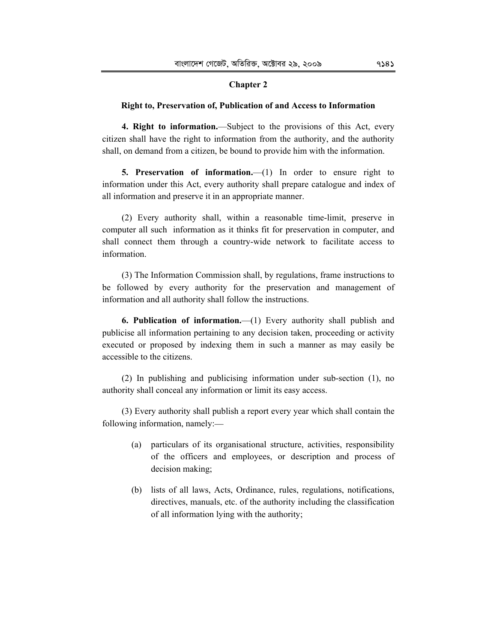# **Chapter 2**

## **Right to, Preservation of, Publication of and Access to Information**

**4. Right to information.**—Subject to the provisions of this Act, every citizen shall have the right to information from the authority, and the authority shall, on demand from a citizen, be bound to provide him with the information.

**5. Preservation of information.**—(1) In order to ensure right to information under this Act, every authority shall prepare catalogue and index of all information and preserve it in an appropriate manner.

(2) Every authority shall, within a reasonable time-limit, preserve in computer all such information as it thinks fit for preservation in computer, and shall connect them through a country-wide network to facilitate access to information.

(3) The Information Commission shall, by regulations, frame instructions to be followed by every authority for the preservation and management of information and all authority shall follow the instructions.

**6. Publication of information.**—(1) Every authority shall publish and publicise all information pertaining to any decision taken, proceeding or activity executed or proposed by indexing them in such a manner as may easily be accessible to the citizens.

(2) In publishing and publicising information under sub-section (1), no authority shall conceal any information or limit its easy access.

(3) Every authority shall publish a report every year which shall contain the following information, namely:-

- (a) particulars of its organisational structure, activities, responsibility of the officers and employees, or description and process of decision making;
- (b) lists of all laws, Acts, Ordinance, rules, regulations, notifications, directives, manuals, etc. of the authority including the classification of all information lying with the authority;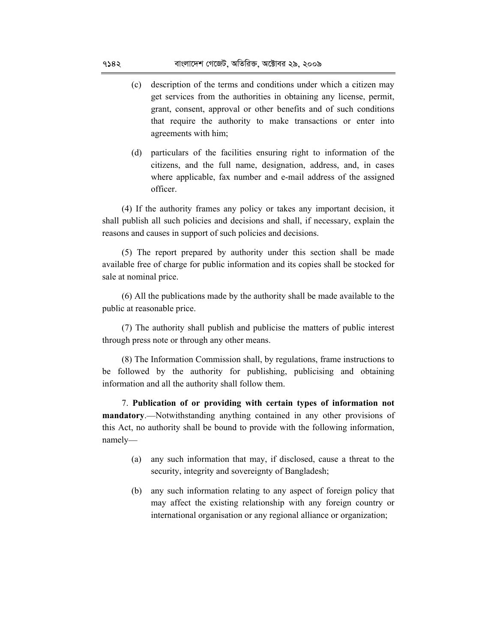- (c) description of the terms and conditions under which a citizen may get services from the authorities in obtaining any license, permit, grant, consent, approval or other benefits and of such conditions that require the authority to make transactions or enter into agreements with him;
- (d) particulars of the facilities ensuring right to information of the citizens, and the full name, designation, address, and, in cases where applicable, fax number and e-mail address of the assigned officer.

(4) If the authority frames any policy or takes any important decision, it shall publish all such policies and decisions and shall, if necessary, explain the reasons and causes in support of such policies and decisions.

(5) The report prepared by authority under this section shall be made available free of charge for public information and its copies shall be stocked for sale at nominal price.

(6) All the publications made by the authority shall be made available to the public at reasonable price.

(7) The authority shall publish and publicise the matters of public interest through press note or through any other means.

(8) The Information Commission shall, by regulations, frame instructions to be followed by the authority for publishing, publicising and obtaining information and all the authority shall follow them.

7. **Publication of or providing with certain types of information not mandatory.**—Notwithstanding anything contained in any other provisions of this Act, no authority shall be bound to provide with the following information, namely-

- (a) any such information that may, if disclosed, cause a threat to the security, integrity and sovereignty of Bangladesh;
- (b) any such information relating to any aspect of foreign policy that may affect the existing relationship with any foreign country or international organisation or any regional alliance or organization;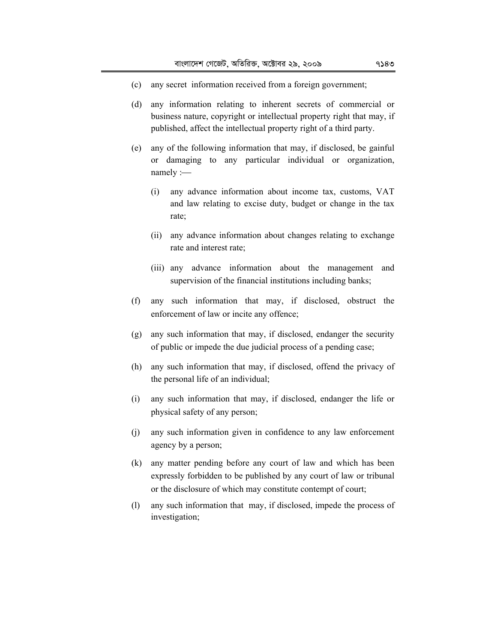- (c) any secret information received from a foreign government;
- (d) any information relating to inherent secrets of commercial or business nature, copyright or intellectual property right that may, if published, affect the intellectual property right of a third party.
- (e) any of the following information that may, if disclosed, be gainful or damaging to any particular individual or organization, namely :-
	- (i) any advance information about income tax, customs, VAT and law relating to excise duty, budget or change in the tax rate;
	- (ii) any advance information about changes relating to exchange rate and interest rate;
	- (iii) any advance information about the management and supervision of the financial institutions including banks;
- (f) any such information that may, if disclosed, obstruct the enforcement of law or incite any offence;
- (g) any such information that may, if disclosed, endanger the security of public or impede the due judicial process of a pending case;
- (h) any such information that may, if disclosed, offend the privacy of the personal life of an individual;
- (i) any such information that may, if disclosed, endanger the life or physical safety of any person;
- (j) any such information given in confidence to any law enforcement agency by a person;
- (k) any matter pending before any court of law and which has been expressly forbidden to be published by any court of law or tribunal or the disclosure of which may constitute contempt of court;
- (l) any such information that may, if disclosed, impede the process of investigation;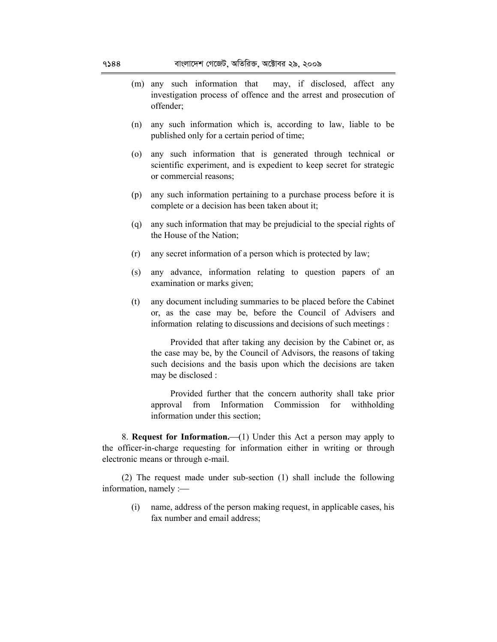- (m) any such information that may, if disclosed, affect any investigation process of offence and the arrest and prosecution of offender;
- (n) any such information which is, according to law, liable to be published only for a certain period of time;
- (o) any such information that is generated through technical or scientific experiment, and is expedient to keep secret for strategic or commercial reasons;
- (p) any such information pertaining to a purchase process before it is complete or a decision has been taken about it;
- (q) any such information that may be prejudicial to the special rights of the House of the Nation;
- (r) any secret information of a person which is protected by law;
- (s) any advance, information relating to question papers of an examination or marks given;
- (t) any document including summaries to be placed before the Cabinet or, as the case may be, before the Council of Advisers and information relating to discussions and decisions of such meetings :

Provided that after taking any decision by the Cabinet or, as the case may be, by the Council of Advisors, the reasons of taking such decisions and the basis upon which the decisions are taken may be disclosed :

Provided further that the concern authority shall take prior approval from Information Commission for withholding information under this section;

8. **Request for Information.** (1) Under this Act a person may apply to the officer-in-charge requesting for information either in writing or through electronic means or through e-mail.

(2) The request made under sub-section (1) shall include the following information, namely :

(i) name, address of the person making request, in applicable cases, his fax number and email address;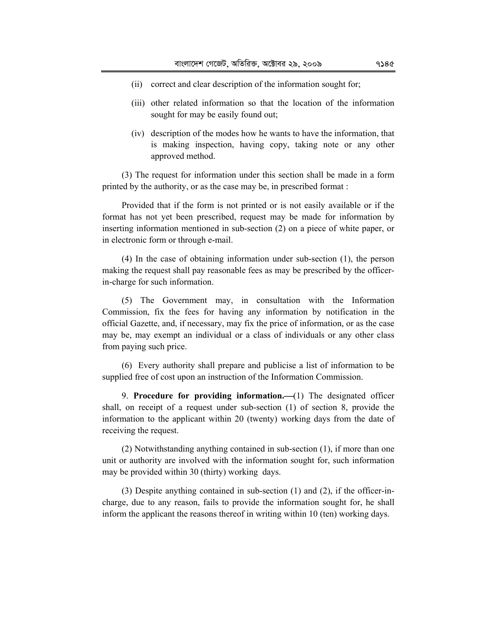- (ii) correct and clear description of the information sought for;
- (iii) other related information so that the location of the information sought for may be easily found out;
- (iv) description of the modes how he wants to have the information, that is making inspection, having copy, taking note or any other approved method.

(3) The request for information under this section shall be made in a form printed by the authority, or as the case may be, in prescribed format :

Provided that if the form is not printed or is not easily available or if the format has not yet been prescribed, request may be made for information by inserting information mentioned in sub-section (2) on a piece of white paper, or in electronic form or through e-mail.

(4) In the case of obtaining information under sub-section (1), the person making the request shall pay reasonable fees as may be prescribed by the officerin-charge for such information.

(5) The Government may, in consultation with the Information Commission, fix the fees for having any information by notification in the official Gazette, and, if necessary, may fix the price of information, or as the case may be, may exempt an individual or a class of individuals or any other class from paying such price.

(6) Every authority shall prepare and publicise a list of information to be supplied free of cost upon an instruction of the Information Commission.

9. **Procedure for providing information.** (1) The designated officer shall, on receipt of a request under sub-section (1) of section 8, provide the information to the applicant within 20 (twenty) working days from the date of receiving the request.

(2) Notwithstanding anything contained in sub-section (1), if more than one unit or authority are involved with the information sought for, such information may be provided within 30 (thirty) working days.

(3) Despite anything contained in sub-section (1) and (2), if the officer-incharge, due to any reason, fails to provide the information sought for, he shall inform the applicant the reasons thereof in writing within 10 (ten) working days.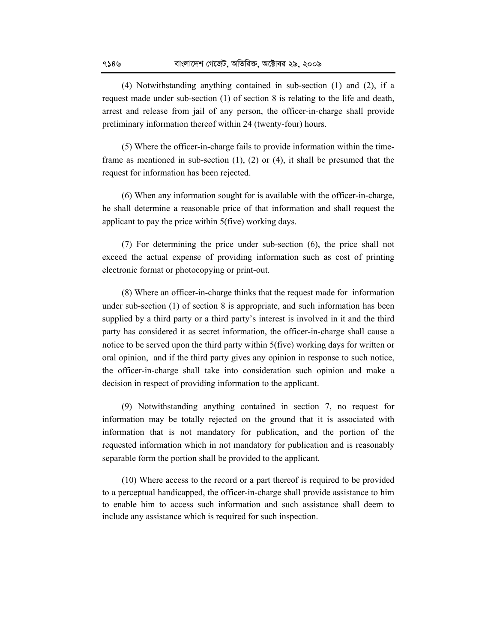(4) Notwithstanding anything contained in sub-section (1) and (2), if a request made under sub-section (1) of section 8 is relating to the life and death, arrest and release from jail of any person, the officer-in-charge shall provide preliminary information thereof within 24 (twenty-four) hours.

(5) Where the officer-in-charge fails to provide information within the timeframe as mentioned in sub-section (1), (2) or (4), it shall be presumed that the request for information has been rejected.

(6) When any information sought for is available with the officer-in-charge, he shall determine a reasonable price of that information and shall request the applicant to pay the price within 5(five) working days.

(7) For determining the price under sub-section (6), the price shall not exceed the actual expense of providing information such as cost of printing electronic format or photocopying or print-out.

(8) Where an officer-in-charge thinks that the request made for information under sub-section (1) of section 8 is appropriate, and such information has been supplied by a third party or a third party's interest is involved in it and the third party has considered it as secret information, the officer-in-charge shall cause a notice to be served upon the third party within 5(five) working days for written or oral opinion, and if the third party gives any opinion in response to such notice, the officer-in-charge shall take into consideration such opinion and make a decision in respect of providing information to the applicant.

(9) Notwithstanding anything contained in section 7, no request for information may be totally rejected on the ground that it is associated with information that is not mandatory for publication, and the portion of the requested information which in not mandatory for publication and is reasonably separable form the portion shall be provided to the applicant.

(10) Where access to the record or a part thereof is required to be provided to a perceptual handicapped, the officer-in-charge shall provide assistance to him to enable him to access such information and such assistance shall deem to include any assistance which is required for such inspection.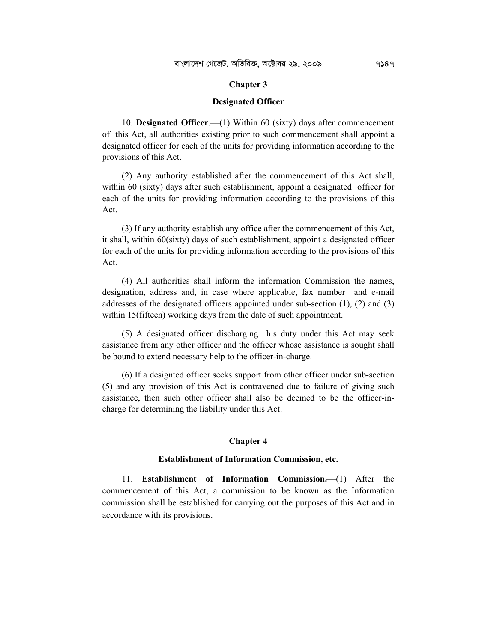### **Chapter 3**

#### **Designated Officer**

10. **Designated Officer.** (1) Within 60 (sixty) days after commencement of this Act, all authorities existing prior to such commencement shall appoint a designated officer for each of the units for providing information according to the provisions of this Act.

(2) Any authority established after the commencement of this Act shall, within 60 (sixty) days after such establishment, appoint a designated officer for each of the units for providing information according to the provisions of this Act.

(3) If any authority establish any office after the commencement of this Act, it shall, within 60(sixty) days of such establishment, appoint a designated officer for each of the units for providing information according to the provisions of this Act.

(4) All authorities shall inform the information Commission the names, designation, address and, in case where applicable, fax number and e-mail addresses of the designated officers appointed under sub-section (1), (2) and (3) within 15(fifteen) working days from the date of such appointment.

(5) A designated officer discharging his duty under this Act may seek assistance from any other officer and the officer whose assistance is sought shall be bound to extend necessary help to the officer-in-charge.

(6) If a designted officer seeks support from other officer under sub-section (5) and any provision of this Act is contravened due to failure of giving such assistance, then such other officer shall also be deemed to be the officer-incharge for determining the liability under this Act.

#### **Chapter 4**

## **Establishment of Information Commission, etc.**

11. **Establishment of Information Commission.**(1) After the commencement of this Act, a commission to be known as the Information commission shall be established for carrying out the purposes of this Act and in accordance with its provisions.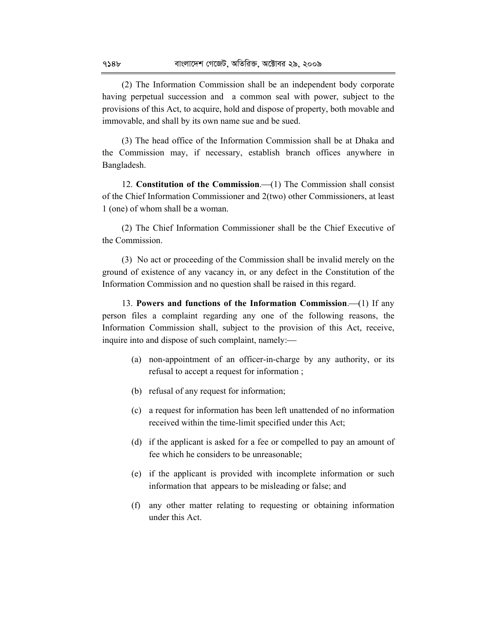(2) The Information Commission shall be an independent body corporate having perpetual succession and a common seal with power, subject to the provisions of this Act, to acquire, hold and dispose of property, both movable and immovable, and shall by its own name sue and be sued.

(3) The head office of the Information Commission shall be at Dhaka and the Commission may, if necessary, establish branch offices anywhere in Bangladesh.

12. **Constitution of the Commission.** (1) The Commission shall consist of the Chief Information Commissioner and 2(two) other Commissioners, at least 1 (one) of whom shall be a woman.

(2) The Chief Information Commissioner shall be the Chief Executive of the Commission.

(3) No act or proceeding of the Commission shall be invalid merely on the ground of existence of any vacancy in, or any defect in the Constitution of the Information Commission and no question shall be raised in this regard.

13. **Powers and functions of the Information Commission.** (1) If any person files a complaint regarding any one of the following reasons, the Information Commission shall, subject to the provision of this Act, receive, inquire into and dispose of such complaint, namely:

- (a) non-appointment of an officer-in-charge by any authority, or its refusal to accept a request for information ;
- (b) refusal of any request for information;
- (c) a request for information has been left unattended of no information received within the time-limit specified under this Act;
- (d) if the applicant is asked for a fee or compelled to pay an amount of fee which he considers to be unreasonable;
- (e) if the applicant is provided with incomplete information or such information that appears to be misleading or false; and
- (f) any other matter relating to requesting or obtaining information under this Act.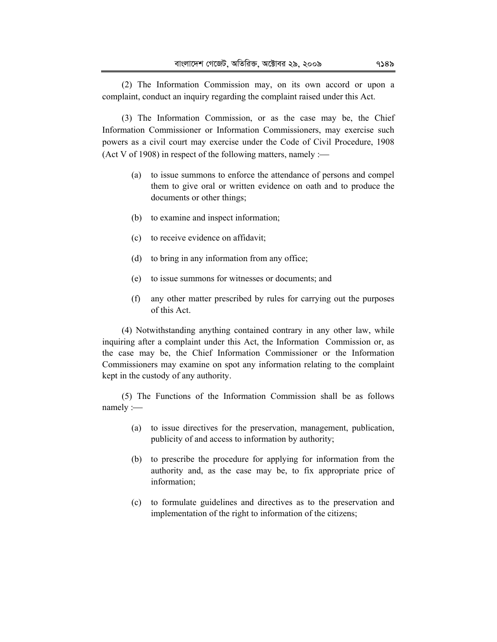(2) The Information Commission may, on its own accord or upon a complaint, conduct an inquiry regarding the complaint raised under this Act.

(3) The Information Commission, or as the case may be, the Chief Information Commissioner or Information Commissioners, may exercise such powers as a civil court may exercise under the Code of Civil Procedure, 1908 (Act V of 1908) in respect of the following matters, namely  $:=$ 

- (a) to issue summons to enforce the attendance of persons and compel them to give oral or written evidence on oath and to produce the documents or other things;
- (b) to examine and inspect information;
- (c) to receive evidence on affidavit;
- (d) to bring in any information from any office;
- (e) to issue summons for witnesses or documents; and
- (f) any other matter prescribed by rules for carrying out the purposes of this Act.

(4) Notwithstanding anything contained contrary in any other law, while inquiring after a complaint under this Act, the Information Commission or, as the case may be, the Chief Information Commissioner or the Information Commissioners may examine on spot any information relating to the complaint kept in the custody of any authority.

(5) The Functions of the Information Commission shall be as follows namely :-

- (a) to issue directives for the preservation, management, publication, publicity of and access to information by authority;
- (b) to prescribe the procedure for applying for information from the authority and, as the case may be, to fix appropriate price of information;
- (c) to formulate guidelines and directives as to the preservation and implementation of the right to information of the citizens;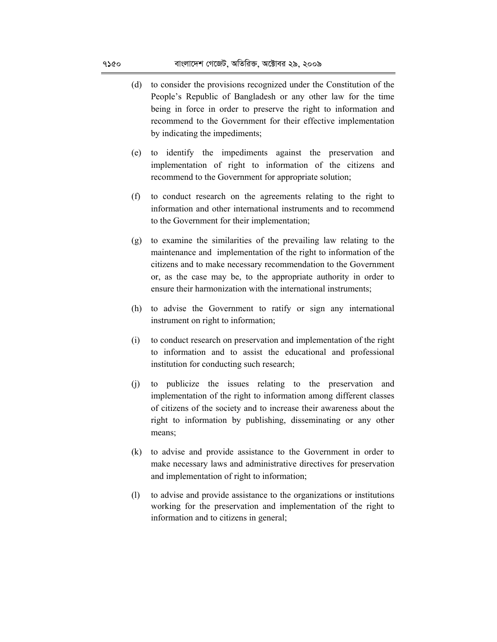- (d) to consider the provisions recognized under the Constitution of the People's Republic of Bangladesh or any other law for the time being in force in order to preserve the right to information and recommend to the Government for their effective implementation by indicating the impediments;
- (e) to identify the impediments against the preservation and implementation of right to information of the citizens and recommend to the Government for appropriate solution;
- (f) to conduct research on the agreements relating to the right to information and other international instruments and to recommend to the Government for their implementation;
- (g) to examine the similarities of the prevailing law relating to the maintenance and implementation of the right to information of the citizens and to make necessary recommendation to the Government or, as the case may be, to the appropriate authority in order to ensure their harmonization with the international instruments;
- (h) to advise the Government to ratify or sign any international instrument on right to information;
- (i) to conduct research on preservation and implementation of the right to information and to assist the educational and professional institution for conducting such research;
- (j) to publicize the issues relating to the preservation and implementation of the right to information among different classes of citizens of the society and to increase their awareness about the right to information by publishing, disseminating or any other means;
- (k) to advise and provide assistance to the Government in order to make necessary laws and administrative directives for preservation and implementation of right to information;
- (l) to advise and provide assistance to the organizations or institutions working for the preservation and implementation of the right to information and to citizens in general;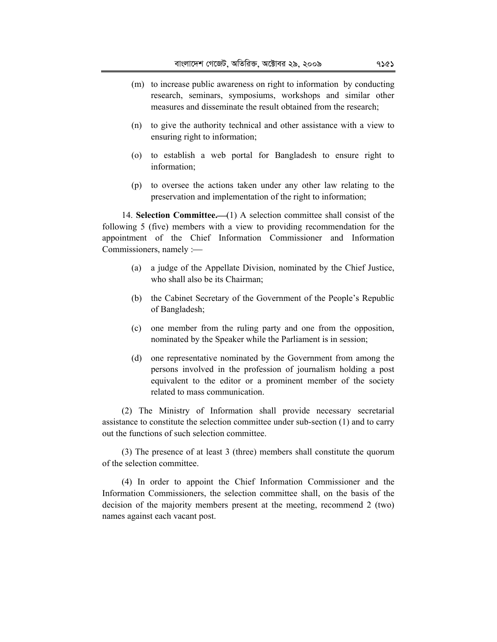- (m) to increase public awareness on right to information by conducting research, seminars, symposiums, workshops and similar other measures and disseminate the result obtained from the research;
- (n) to give the authority technical and other assistance with a view to ensuring right to information;
- (o) to establish a web portal for Bangladesh to ensure right to information;
- (p) to oversee the actions taken under any other law relating to the preservation and implementation of the right to information;

14. **Selection Committee.** (1) A selection committee shall consist of the following 5 (five) members with a view to providing recommendation for the appointment of the Chief Information Commissioner and Information Commissioners, namely :

- (a) a judge of the Appellate Division, nominated by the Chief Justice, who shall also be its Chairman;
- (b) the Cabinet Secretary of the Government of the People's Republic of Bangladesh;
- (c) one member from the ruling party and one from the opposition, nominated by the Speaker while the Parliament is in session;
- (d) one representative nominated by the Government from among the persons involved in the profession of journalism holding a post equivalent to the editor or a prominent member of the society related to mass communication.

(2) The Ministry of Information shall provide necessary secretarial assistance to constitute the selection committee under sub-section (1) and to carry out the functions of such selection committee.

(3) The presence of at least 3 (three) members shall constitute the quorum of the selection committee.

(4) In order to appoint the Chief Information Commissioner and the Information Commissioners, the selection committee shall, on the basis of the decision of the majority members present at the meeting, recommend 2 (two) names against each vacant post.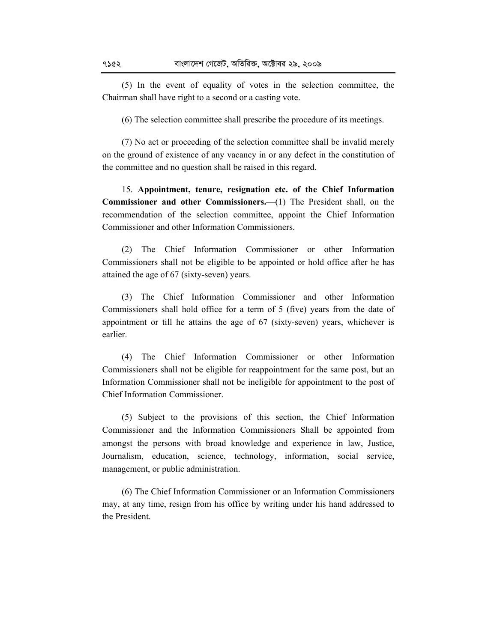(5) In the event of equality of votes in the selection committee, the Chairman shall have right to a second or a casting vote.

(6) The selection committee shall prescribe the procedure of its meetings.

(7) No act or proceeding of the selection committee shall be invalid merely on the ground of existence of any vacancy in or any defect in the constitution of the committee and no question shall be raised in this regard.

15. **Appointment, tenure, resignation etc. of the Chief Information Commissioner and other Commissioners.** (1) The President shall, on the recommendation of the selection committee, appoint the Chief Information Commissioner and other Information Commissioners.

(2) The Chief Information Commissioner or other Information Commissioners shall not be eligible to be appointed or hold office after he has attained the age of 67 (sixty-seven) years.

(3) The Chief Information Commissioner and other Information Commissioners shall hold office for a term of 5 (five) years from the date of appointment or till he attains the age of 67 (sixty-seven) years, whichever is earlier.

(4) The Chief Information Commissioner or other Information Commissioners shall not be eligible for reappointment for the same post, but an Information Commissioner shall not be ineligible for appointment to the post of Chief Information Commissioner.

(5) Subject to the provisions of this section, the Chief Information Commissioner and the Information Commissioners Shall be appointed from amongst the persons with broad knowledge and experience in law, Justice, Journalism, education, science, technology, information, social service, management, or public administration.

(6) The Chief Information Commissioner or an Information Commissioners may, at any time, resign from his office by writing under his hand addressed to the President.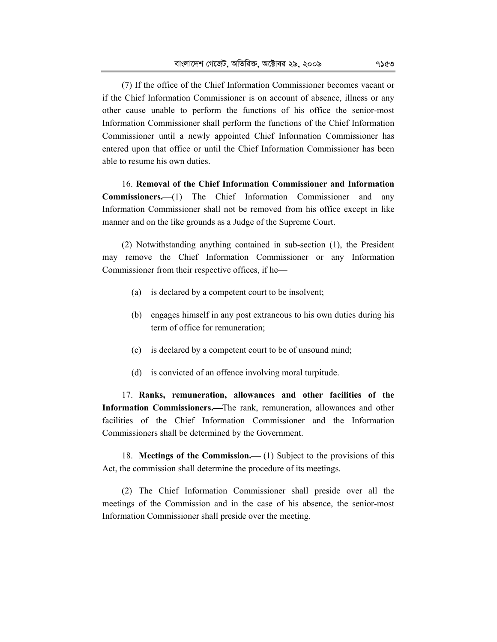(7) If the office of the Chief Information Commissioner becomes vacant or if the Chief Information Commissioner is on account of absence, illness or any other cause unable to perform the functions of his office the senior-most Information Commissioner shall perform the functions of the Chief Information Commissioner until a newly appointed Chief Information Commissioner has entered upon that office or until the Chief Information Commissioner has been able to resume his own duties.

16. **Removal of the Chief Information Commissioner and Information**  Commissioners.--(1) The Chief Information Commissioner and any Information Commissioner shall not be removed from his office except in like manner and on the like grounds as a Judge of the Supreme Court.

(2) Notwithstanding anything contained in sub-section (1), the President may remove the Chief Information Commissioner or any Information Commissioner from their respective offices, if he

- (a) is declared by a competent court to be insolvent;
- (b) engages himself in any post extraneous to his own duties during his term of office for remuneration;
- (c) is declared by a competent court to be of unsound mind;
- (d) is convicted of an offence involving moral turpitude.

17. **Ranks, remuneration, allowances and other facilities of the**  Information Commissioners.-The rank, remuneration, allowances and other facilities of the Chief Information Commissioner and the Information Commissioners shall be determined by the Government.

18. **Meetings of the Commission.** (1) Subject to the provisions of this Act, the commission shall determine the procedure of its meetings.

(2) The Chief Information Commissioner shall preside over all the meetings of the Commission and in the case of his absence, the senior-most Information Commissioner shall preside over the meeting.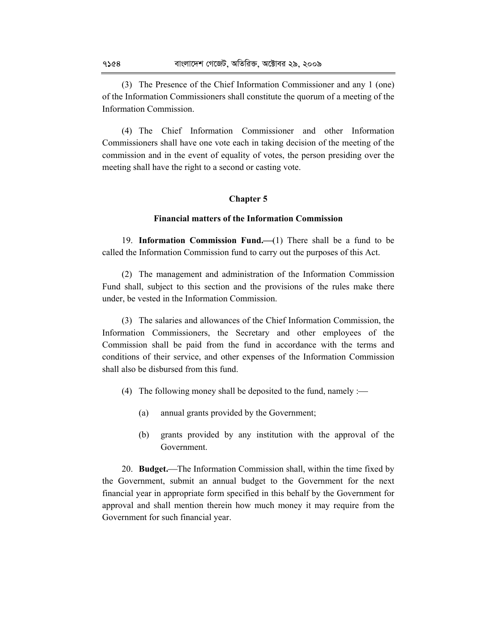(3) The Presence of the Chief Information Commissioner and any 1 (one) of the Information Commissioners shall constitute the quorum of a meeting of the Information Commission.

(4) The Chief Information Commissioner and other Information Commissioners shall have one vote each in taking decision of the meeting of the commission and in the event of equality of votes, the person presiding over the meeting shall have the right to a second or casting vote.

## **Chapter 5**

## **Financial matters of the Information Commission**

19. **Information Commission Fund.** (1) There shall be a fund to be called the Information Commission fund to carry out the purposes of this Act.

(2) The management and administration of the Information Commission Fund shall, subject to this section and the provisions of the rules make there under, be vested in the Information Commission.

(3) The salaries and allowances of the Chief Information Commission, the Information Commissioners, the Secretary and other employees of the Commission shall be paid from the fund in accordance with the terms and conditions of their service, and other expenses of the Information Commission shall also be disbursed from this fund.

- (4) The following money shall be deposited to the fund, namely  $:=$ 
	- (a) annual grants provided by the Government;
	- (b) grants provided by any institution with the approval of the Government.

20. **Budget.**The Information Commission shall, within the time fixed by the Government, submit an annual budget to the Government for the next financial year in appropriate form specified in this behalf by the Government for approval and shall mention therein how much money it may require from the Government for such financial year.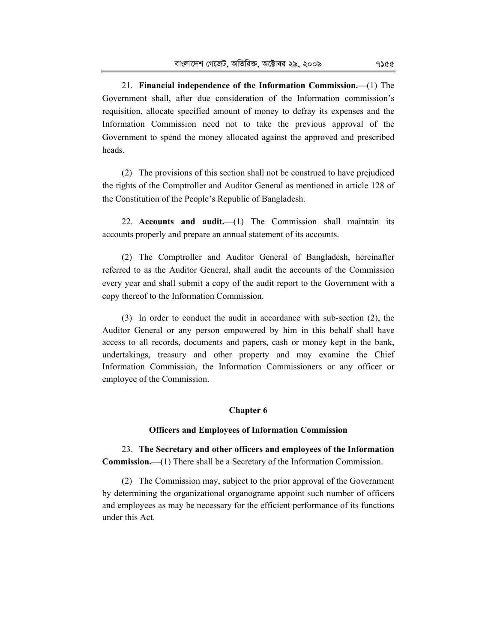21. **Financial independence of the Information Commission.**(1) The Government shall, after due consideration of the Information commission's requisition, allocate specified amount of money to defray its expenses and the Information Commission need not to take the previous approval of the Government to spend the money allocated against the approved and prescribed heads.

(2) The provisions of this section shall not be construed to have prejudiced the rights of the Comptroller and Auditor General as mentioned in article 128 of the Constitution of the People's Republic of Bangladesh.

22. **Accounts and audit.**  $(1)$  The Commission shall maintain its accounts properly and prepare an annual statement of its accounts.

(2) The Comptroller and Auditor General of Bangladesh, hereinafter referred to as the Auditor General, shall audit the accounts of the Commission every year and shall submit a copy of the audit report to the Government with a copy thereof to the Information Commission.

(3) In order to conduct the audit in accordance with sub-section (2), the Auditor General or any person empowered by him in this behalf shall have access to all records, documents and papers, cash or money kept in the bank, undertakings, treasury and other property and may examine the Chief Information Commission, the Information Commissioners or any officer or employee of the Commission.

## **Chapter 6**

#### **Officers and Employees of Information Commission**

23. **The Secretary and other officers and employees of the Information Commission.** (1) There shall be a Secretary of the Information Commission.

(2) The Commission may, subject to the prior approval of the Government by determining the organizational organograme appoint such number of officers and employees as may be necessary for the efficient performance of its functions under this Act.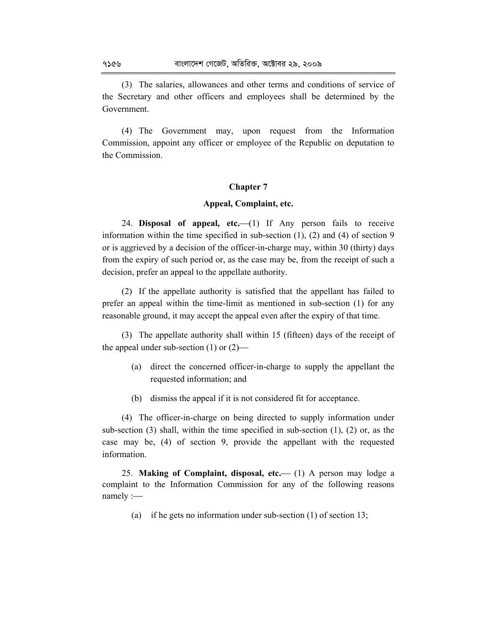(3) The salaries, allowances and other terms and conditions of service of the Secretary and other officers and employees shall be determined by the Government.

(4) The Government may, upon request from the Information Commission, appoint any officer or employee of the Republic on deputation to the Commission.

# **Chapter 7**

# **Appeal, Complaint, etc.**

24. **Disposal of appeal, etc.** (1) If Any person fails to receive information within the time specified in sub-section (1), (2) and (4) of section 9 or is aggrieved by a decision of the officer-in-charge may, within 30 (thirty) days from the expiry of such period or, as the case may be, from the receipt of such a decision, prefer an appeal to the appellate authority.

(2) If the appellate authority is satisfied that the appellant has failed to prefer an appeal within the time-limit as mentioned in sub-section (1) for any reasonable ground, it may accept the appeal even after the expiry of that time.

(3) The appellate authority shall within 15 (fifteen) days of the receipt of the appeal under sub-section  $(1)$  or  $(2)$ —

- (a) direct the concerned officer-in-charge to supply the appellant the requested information; and
- (b) dismiss the appeal if it is not considered fit for acceptance.

(4) The officer-in-charge on being directed to supply information under sub-section (3) shall, within the time specified in sub-section (1), (2) or, as the case may be, (4) of section 9, provide the appellant with the requested information.

25. **Making of Complaint, disposal, etc.** (1) A person may lodge a complaint to the Information Commission for any of the following reasons namely :-

(a) if he gets no information under sub-section (1) of section 13;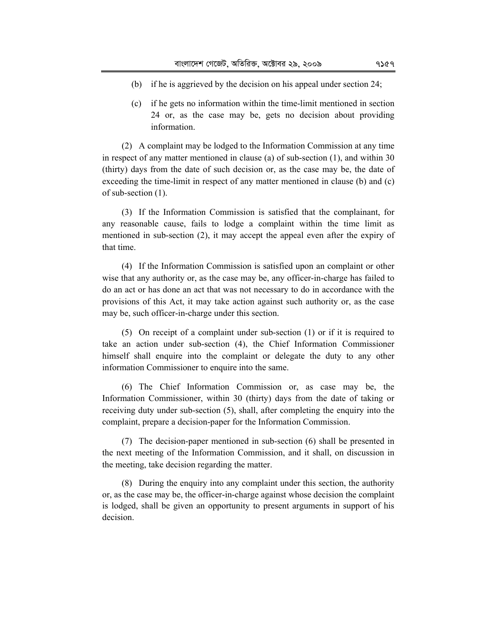- (b) if he is aggrieved by the decision on his appeal under section 24;
- (c) if he gets no information within the time-limit mentioned in section 24 or, as the case may be, gets no decision about providing information.

(2) A complaint may be lodged to the Information Commission at any time in respect of any matter mentioned in clause (a) of sub-section (1), and within 30 (thirty) days from the date of such decision or, as the case may be, the date of exceeding the time-limit in respect of any matter mentioned in clause (b) and (c) of sub-section (1).

(3) If the Information Commission is satisfied that the complainant, for any reasonable cause, fails to lodge a complaint within the time limit as mentioned in sub-section (2), it may accept the appeal even after the expiry of that time.

(4) If the Information Commission is satisfied upon an complaint or other wise that any authority or, as the case may be, any officer-in-charge has failed to do an act or has done an act that was not necessary to do in accordance with the provisions of this Act, it may take action against such authority or, as the case may be, such officer-in-charge under this section.

(5) On receipt of a complaint under sub-section (1) or if it is required to take an action under sub-section (4), the Chief Information Commissioner himself shall enquire into the complaint or delegate the duty to any other information Commissioner to enquire into the same.

(6) The Chief Information Commission or, as case may be, the Information Commissioner, within 30 (thirty) days from the date of taking or receiving duty under sub-section (5), shall, after completing the enquiry into the complaint, prepare a decision-paper for the Information Commission.

(7) The decision-paper mentioned in sub-section (6) shall be presented in the next meeting of the Information Commission, and it shall, on discussion in the meeting, take decision regarding the matter.

(8) During the enquiry into any complaint under this section, the authority or, as the case may be, the officer-in-charge against whose decision the complaint is lodged, shall be given an opportunity to present arguments in support of his decision.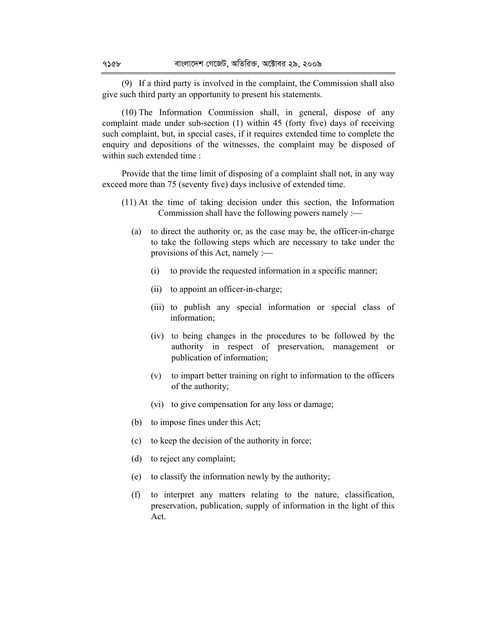(9) If a third party is involved in the complaint, the Commission shall also give such third party an opportunity to present his statements.

(10) The Information Commission shall, in general, dispose of any complaint made under sub-section (1) within 45 (forty five) days of receiving such complaint, but, in special cases, if it requires extended time to complete the enquiry and depositions of the witnesses, the complaint may be disposed of within such extended time :

Provide that the time limit of disposing of a complaint shall not, in any way exceed more than 75 (seventy five) days inclusive of extended time.

- (11) At the time of taking decision under this section, the Information Commission shall have the following powers namely :
	- (a) to direct the authority or, as the case may be, the officer-in-charge to take the following steps which are necessary to take under the provisions of this Act, namely :
		- (i) to provide the requested information in a specific manner;
		- (ii) to appoint an officer-in-charge;
		- (iii) to publish any special information or special class of information;
		- (iv) to being changes in the procedures to be followed by the authority in respect of preservation, management or publication of information;
		- (v) to impart better training on right to information to the officers of the authority;
		- (vi) to give compensation for any loss or damage;
	- (b) to impose fines under this Act;
	- (c) to keep the decision of the authority in force;
	- (d) to reject any complaint;
	- (e) to classify the information newly by the authority;
	- (f) to interpret any matters relating to the nature, classification, preservation, publication, supply of information in the light of this Act.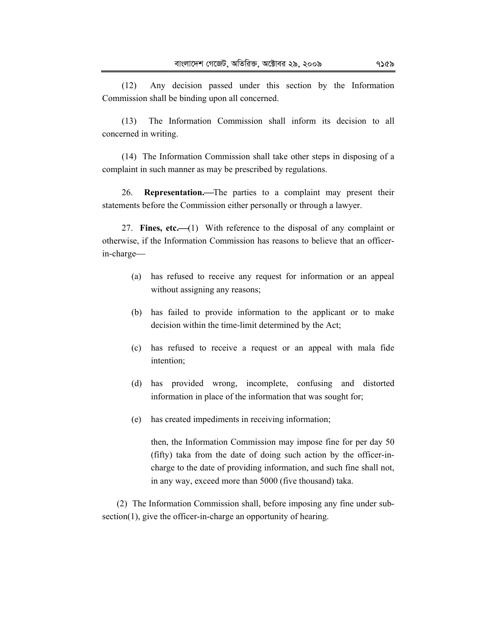(12) Any decision passed under this section by the Information Commission shall be binding upon all concerned.

(13) The Information Commission shall inform its decision to all concerned in writing.

(14) The Information Commission shall take other steps in disposing of a complaint in such manner as may be prescribed by regulations.

26. **Representation.**The parties to a complaint may present their statements before the Commission either personally or through a lawyer.

27. **Fines, etc.** (1) With reference to the disposal of any complaint or otherwise, if the Information Commission has reasons to believe that an officerin-charge

- (a) has refused to receive any request for information or an appeal without assigning any reasons;
- (b) has failed to provide information to the applicant or to make decision within the time-limit determined by the Act;
- (c) has refused to receive a request or an appeal with mala fide intention;
- (d) has provided wrong, incomplete, confusing and distorted information in place of the information that was sought for;
- (e) has created impediments in receiving information;

then, the Information Commission may impose fine for per day 50 (fifty) taka from the date of doing such action by the officer-incharge to the date of providing information, and such fine shall not, in any way, exceed more than 5000 (five thousand) taka.

(2) The Information Commission shall, before imposing any fine under subsection(1), give the officer-in-charge an opportunity of hearing.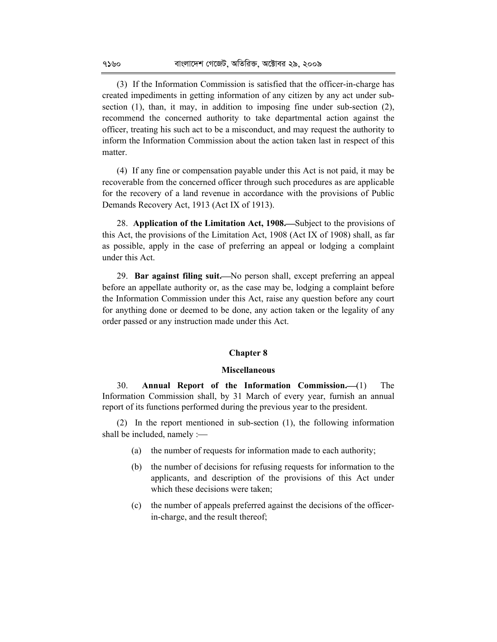(3) If the Information Commission is satisfied that the officer-in-charge has created impediments in getting information of any citizen by any act under subsection (1), than, it may, in addition to imposing fine under sub-section (2), recommend the concerned authority to take departmental action against the officer, treating his such act to be a misconduct, and may request the authority to inform the Information Commission about the action taken last in respect of this matter.

(4) If any fine or compensation payable under this Act is not paid, it may be recoverable from the concerned officer through such procedures as are applicable for the recovery of a land revenue in accordance with the provisions of Public Demands Recovery Act, 1913 (Act IX of 1913).

28. **Application of the Limitation Act, 1908.**—Subject to the provisions of this Act, the provisions of the Limitation Act, 1908 (Act IX of 1908) shall, as far as possible, apply in the case of preferring an appeal or lodging a complaint under this Act.

29. **Bar against filing suit.—**No person shall, except preferring an appeal before an appellate authority or, as the case may be, lodging a complaint before the Information Commission under this Act, raise any question before any court for anything done or deemed to be done, any action taken or the legality of any order passed or any instruction made under this Act.

#### **Chapter 8**

#### **Miscellaneous**

30. **Annual Report of the Information Commission.**(1) The Information Commission shall, by 31 March of every year, furnish an annual report of its functions performed during the previous year to the president.

(2) In the report mentioned in sub-section (1), the following information shall be included, namely :

- (a) the number of requests for information made to each authority;
- (b) the number of decisions for refusing requests for information to the applicants, and description of the provisions of this Act under which these decisions were taken;
- (c) the number of appeals preferred against the decisions of the officerin-charge, and the result thereof;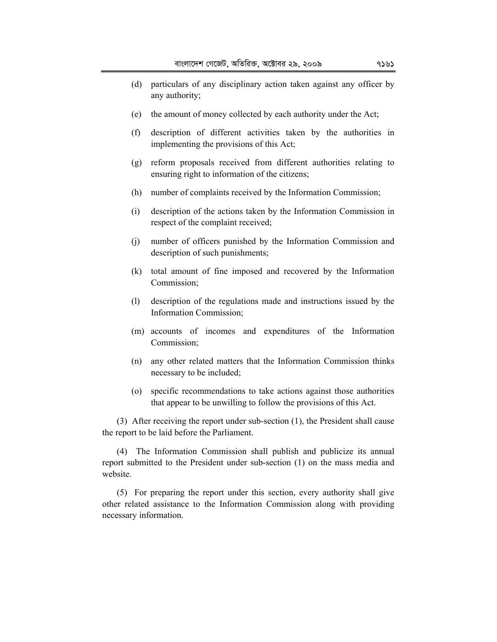- (d) particulars of any disciplinary action taken against any officer by any authority;
- (e) the amount of money collected by each authority under the Act;
- (f) description of different activities taken by the authorities in implementing the provisions of this Act;
- (g) reform proposals received from different authorities relating to ensuring right to information of the citizens;
- (h) number of complaints received by the Information Commission;
- (i) description of the actions taken by the Information Commission in respect of the complaint received;
- (j) number of officers punished by the Information Commission and description of such punishments;
- (k) total amount of fine imposed and recovered by the Information Commission;
- (l) description of the regulations made and instructions issued by the Information Commission;
- (m) accounts of incomes and expenditures of the Information Commission;
- (n) any other related matters that the Information Commission thinks necessary to be included;
- (o) specific recommendations to take actions against those authorities that appear to be unwilling to follow the provisions of this Act.

(3) After receiving the report under sub-section (1), the President shall cause the report to be laid before the Parliament.

(4) The Information Commission shall publish and publicize its annual report submitted to the President under sub-section (1) on the mass media and website.

(5) For preparing the report under this section, every authority shall give other related assistance to the Information Commission along with providing necessary information.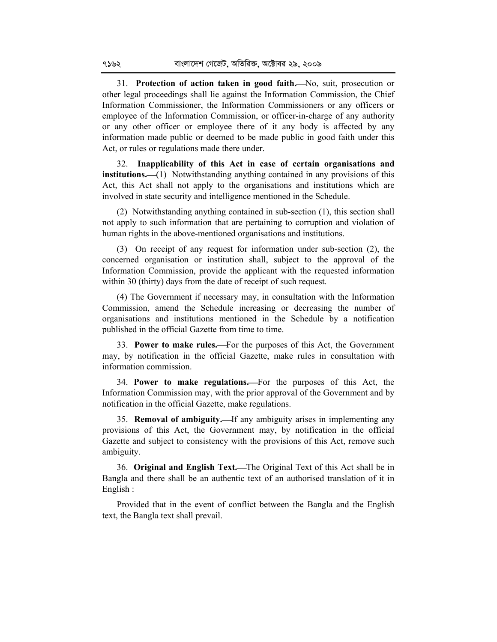31. **Protection of action taken in good faith.**No, suit, prosecution or other legal proceedings shall lie against the Information Commission, the Chief Information Commissioner, the Information Commissioners or any officers or employee of the Information Commission, or officer-in-charge of any authority or any other officer or employee there of it any body is affected by any information made public or deemed to be made public in good faith under this Act, or rules or regulations made there under.

32. **Inapplicability of this Act in case of certain organisations and institutions.** (1) Notwithstanding anything contained in any provisions of this Act, this Act shall not apply to the organisations and institutions which are involved in state security and intelligence mentioned in the Schedule.

(2) Notwithstanding anything contained in sub-section (1), this section shall not apply to such information that are pertaining to corruption and violation of human rights in the above-mentioned organisations and institutions.

(3) On receipt of any request for information under sub-section (2), the concerned organisation or institution shall, subject to the approval of the Information Commission, provide the applicant with the requested information within 30 (thirty) days from the date of receipt of such request.

(4) The Government if necessary may, in consultation with the Information Commission, amend the Schedule increasing or decreasing the number of organisations and institutions mentioned in the Schedule by a notification published in the official Gazette from time to time.

33. **Power to make rules.**For the purposes of this Act, the Government may, by notification in the official Gazette, make rules in consultation with information commission.

34. **Power to make regulations.**For the purposes of this Act, the Information Commission may, with the prior approval of the Government and by notification in the official Gazette, make regulations.

35. **Removal of ambiguity.**If any ambiguity arises in implementing any provisions of this Act, the Government may, by notification in the official Gazette and subject to consistency with the provisions of this Act, remove such ambiguity.

36. **Original and English Text.**The Original Text of this Act shall be in Bangla and there shall be an authentic text of an authorised translation of it in English :

Provided that in the event of conflict between the Bangla and the English text, the Bangla text shall prevail.